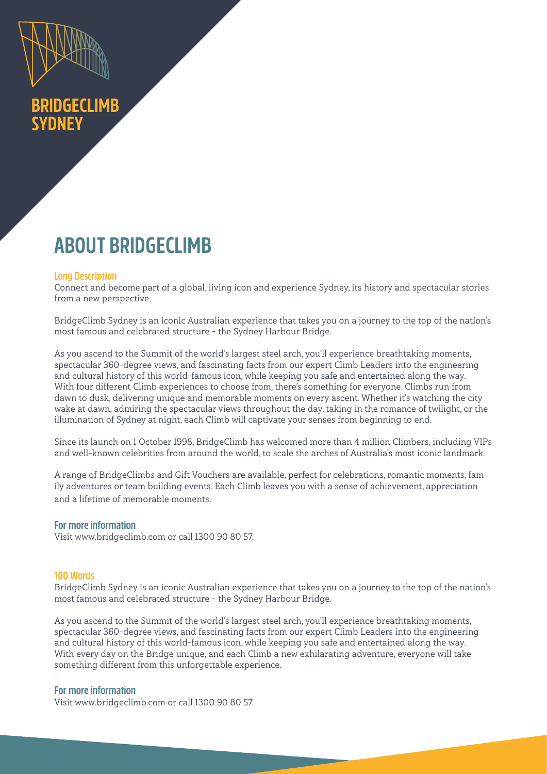

# **BRIDGECLIMB SYDNEY**

# **ABOUT BRIDGECLIMB**

# **Long Description**

Connect and become part of a global, living icon and experience Sydney, its history and spectacular stories from a new perspective.

BridgeClimb Sydney is an iconic Australian experience that takes you on a journey to the top of the nation's most famous and celebrated structure – the Sydney Harbour Bridge.

As you ascend to the Summit of the world's largest steel arch, you'll experience breathtaking moments, spectacular 360-degree views, and fascinating facts from our expert Climb Leaders into the engineering and cultural history of this world-famous icon, while keeping you safe and entertained along the way. With four different Climb experiences to choose from, there's something for everyone. Climbs run from dawn to dusk, delivering unique and memorable moments on every ascent. Whether it's watching the city wake at dawn, admiring the spectacular views throughout the day, taking in the romance of twilight, or the illumination of Sydney at night, each Climb will captivate your senses from beginning to end.

Since its launch on 1 October 1998, BridgeClimb has welcomed more than 4 million Climbers, including VIPs and well-known celebrities from around the world, to scale the arches of Australia's most iconic landmark.

A range of BridgeClimbs and Gift Vouchers are available, perfect for celebrations, romantic moments, family adventures or team building events. Each Climb leaves you with a sense of achievement, appreciation and a lifetime of memorable moments.

# **For more information**

Visit www.bridgeclimb.com or call 1300 90 80 57.

### **100 Words**

BridgeClimb Sydney is an iconic Australian experience that takes you on a journey to the top of the nation's most famous and celebrated structure – the Sydney Harbour Bridge.

As you ascend to the Summit of the world's largest steel arch, you'll experience breathtaking moments, spectacular 360-degree views, and fascinating facts from our expert Climb Leaders into the engineering and cultural history of this world-famous icon, while keeping you safe and entertained along the way. With every day on the Bridge unique, and each Climb a new exhilarating adventure, everyone will take something different from this unforgettable experience.

### **For more information**

Visit www.bridgeclimb.com or call 1300 90 80 57.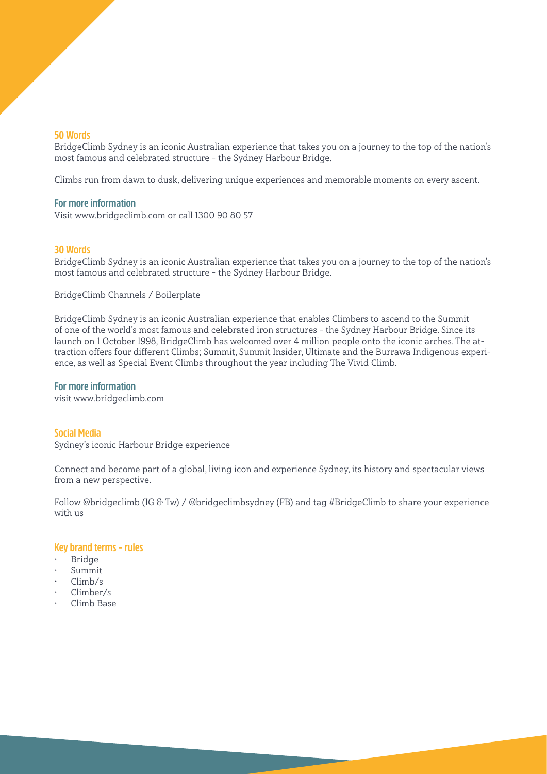### **50 Words**

BridgeClimb Sydney is an iconic Australian experience that takes you on a journey to the top of the nation's most famous and celebrated structure – the Sydney Harbour Bridge.

Climbs run from dawn to dusk, delivering unique experiences and memorable moments on every ascent.

### **For more information**

Visit www.bridgeclimb.com or call 1300 90 80 57

### **30 Words**

BridgeClimb Sydney is an iconic Australian experience that takes you on a journey to the top of the nation's most famous and celebrated structure – the Sydney Harbour Bridge.

BridgeClimb Channels / Boilerplate

BridgeClimb Sydney is an iconic Australian experience that enables Climbers to ascend to the Summit of one of the world's most famous and celebrated iron structures - the Sydney Harbour Bridge. Since its launch on 1 October 1998, BridgeClimb has welcomed over 4 million people onto the iconic arches. The attraction offers four different Climbs; Summit, Summit Insider, Ultimate and the Burrawa Indigenous experience, as well as Special Event Climbs throughout the year including The Vivid Climb.

### **For more information**

visit www.bridgeclimb.com

### **Social Media**

Sydney's iconic Harbour Bridge experience

Connect and become part of a global, living icon and experience Sydney, its history and spectacular views from a new perspective.

Follow @bridgeclimb (IG & Tw) / @bridgeclimbsydney (FB) and tag #BridgeClimb to share your experience with us

### **Key brand terms – rules**

- Bridge
- Summit
- Climb/s
- Climber/s
- Climb Base